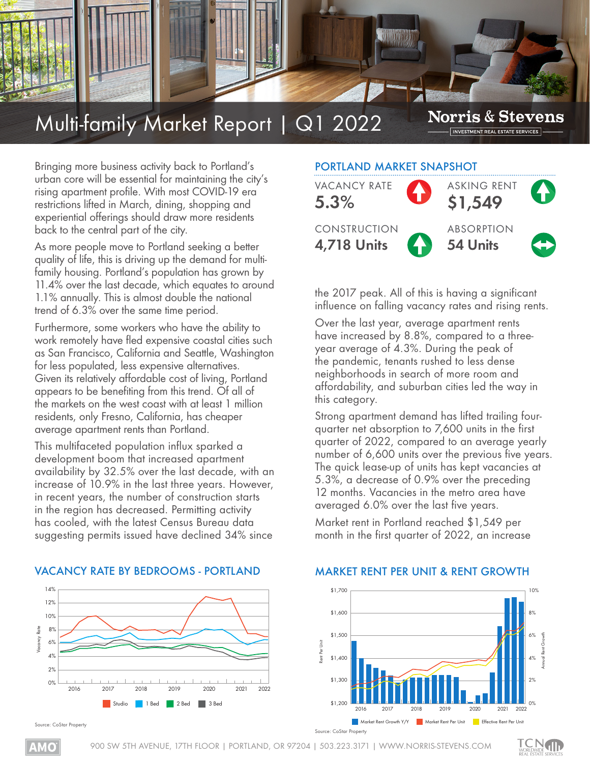

# Multi-family Market Report | Q1 2022

**Norris & Stevens** INVESTMENT REAL ESTATE SERVICES

Bringing more business activity back to Portland's urban core will be essential for maintaining the city's rising apartment profile. With most COVID-19 era restrictions lifted in March, dining, shopping and experiential offerings should draw more residents back to the central part of the city.

As more people move to Portland seeking a better quality of life, this is driving up the demand for multifamily housing. Portland's population has grown by 11.4% over the last decade, which equates to around 1.1% annually. This is almost double the national trend of 6.3% over the same time period.

Furthermore, some workers who have the ability to work remotely have fled expensive coastal cities such as San Francisco, California and Seattle, Washington for less populated, less expensive alternatives. Given its relatively affordable cost of living, Portland appears to be benefiting from this trend. Of all of the markets on the west coast with at least 1 million residents, only Fresno, California, has cheaper average apartment rents than Portland.

This multifaceted population influx sparked a development boom that increased apartment availability by 32.5% over the last decade, with an increase of 10.9% in the last three years. However, in recent years, the number of construction starts in the region has decreased. Permitting activity has cooled, with the latest Census Bureau data suggesting permits issued have declined 34% since

# PORTLAND MARKET SNAPSHOT



the 2017 peak. All of this is having a significant influence on falling vacancy rates and rising rents.

Over the last year, average apartment rents have increased by 8.8%, compared to a threeyear average of 4.3%. During the peak of the pandemic, tenants rushed to less dense neighborhoods in search of more room and affordability, and suburban cities led the way in this category.

Strong apartment demand has lifted trailing fourquarter net absorption to 7,600 units in the first quarter of 2022, compared to an average yearly number of 6,600 units over the previous five years. The quick lease-up of units has kept vacancies at 5.3%, a decrease of 0.9% over the preceding 12 months. Vacancies in the metro area have averaged 6.0% over the last five years.

Market rent in Portland reached \$1,549 per month in the first quarter of 2022, an increase



#### VACANCY RATE BY BEDROOMS - PORTLAND

### MARKET RENT PER UNIT & RENT GROWTH



**rce: CoStar Property**